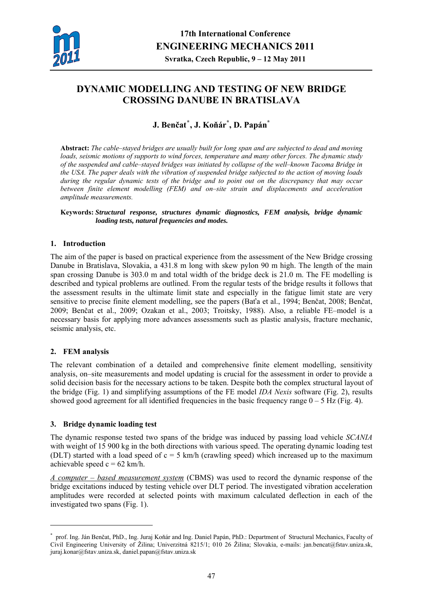

# **DYNAMIC MODELLING AND TESTING OF NEW BRIDGE CROSSING DANUBE IN BRATISLAVA**

## **J. Benčat[\\*](#page-0-0) , J. Koňár\* , D. Papán\***

**Abstract:** *The cable–stayed bridges are usually built for long span and are subjected to dead and moving loads, seismic motions of supports to wind forces, temperature and many other forces. The dynamic study of the suspended and cable–stayed bridges was initiated by collapse of the well–known Tacoma Bridge in the USA. The paper deals with the vibration of suspended bridge subjected to the action of moving loads during the regular dynamic tests of the bridge and to point out on the discrepancy that may occur between finite element modelling (FEM) and on–site strain and displacements and acceleration amplitude measurements.* 

**Keywords:** *Structural response, structures dynamic diagnostics, FEM analysis, bridge dynamic loading tests, natural frequencies and modes.* 

#### **1. Introduction**

The aim of the paper is based on practical experience from the assessment of the New Bridge crossing Danube in Bratislava, Slovakia, a 431.8 m long with skew pylon 90 m high. The length of the main span crossing Danube is 303.0 m and total width of the bridge deck is 21.0 m. The FE modelling is described and typical problems are outlined. From the regular tests of the bridge results it follows that the assessment results in the ultimate limit state and especially in the fatigue limit state are very sensitive to precise finite element modelling, see the papers (Baťa et al., 1994; Benčat, 2008; Benčat, 2009; Benčat et al., 2009; Ozakan et al., 2003; Troitsky, 1988). Also, a reliable FE–model is a necessary basis for applying more advances assessments such as plastic analysis, fracture mechanic, seismic analysis, etc.

#### **2. FEM analysis**

1

The relevant combination of a detailed and comprehensive finite element modelling, sensitivity analysis, on–site measurements and model updating is crucial for the assessment in order to provide a solid decision basis for the necessary actions to be taken. Despite both the complex structural layout of the bridge (Fig. 1) and simplifying assumptions of the FE model *IDA Nexis* software (Fig. 2), results showed good agreement for all identified frequencies in the basic frequency range  $0 - 5$  Hz (Fig. 4).

#### **3. Bridge dynamic loading test**

The dynamic response tested two spans of the bridge was induced by passing load vehicle *SCANIA* with weight of 15 900 kg in the both directions with various speed. The operating dynamic loading test (DLT) started with a load speed of  $c = 5$  km/h (crawling speed) which increased up to the maximum achievable speed  $c = 62$  km/h.

*A computer – based measurement system* (CBMS) was used to record the dynamic response of the bridge excitations induced by testing vehicle over DLT period. The investigated vibration acceleration amplitudes were recorded at selected points with maximum calculated deflection in each of the investigated two spans (Fig. 1).

<span id="page-0-0"></span><sup>\*</sup> prof. Ing. Ján Benčat, PhD., Ing. Juraj Koňár and Ing. Daniel Papán, PhD.: Department of Structural Mechanics, Faculty of Civil Engineering University of Žilina; Univerzitná 8215/1; 010 26 Žilina; Slovakia, e-mails: jan.bencat@fstav.uniza.sk, juraj.konar@fstav.uniza.sk, daniel.papan@fstav.uniza.sk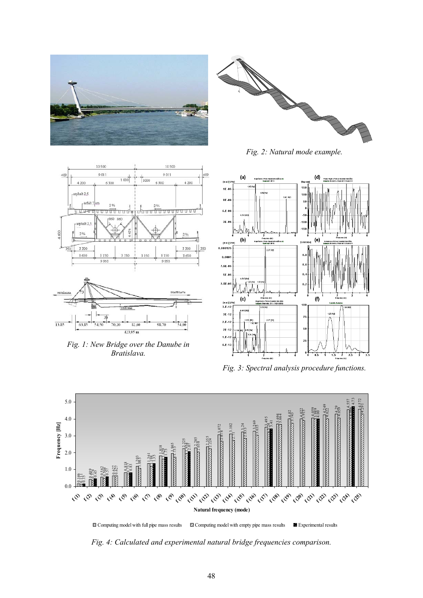



*Fig. 2: Natural mode example.* 





*Fig. 1: New Bridge over the Danube in Bratislava.* 



*Fig. 3: Spectral analysis procedure functions.* 



*Fig. 4: Calculated and experimental natural bridge frequencies comparison.*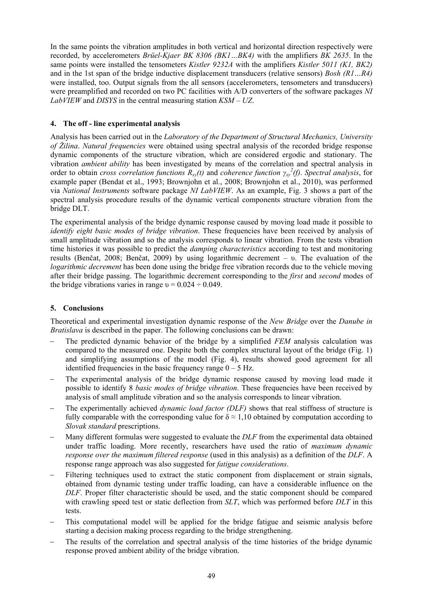In the same points the vibration amplitudes in both vertical and horizontal direction respectively were recorded, by accelerometers *Brüel-Kjaer BK 8306 (BK1…BK4)* with the amplifiers *BK 2635*. In the same points were installed the tensometers *Kistler 9232A* with the amplifiers *Kistler 5011 (K1, BK2)* and in the 1st span of the bridge inductive displacement transducers (relative sensors) *Bosh (R1…R4)* were installed, too. Output signals from the all sensors (accelerometers, tensometers and transducers) were preamplified and recorded on two PC facilities with A/D converters of the software packages *NI LabVIEW* and *DISYS* in the central measuring station *KSM – UZ*.

#### **4. The off - line experimental analysis**

Analysis has been carried out in the *Laboratory of the Department of Structural Mechanics, University of Žilina*. *Natural frequencies* were obtained using spectral analysis of the recorded bridge response dynamic components of the structure vibration, which are considered ergodic and stationary. The vibration *ambient ability* has been investigated by means of the correlation and spectral analysis in *corder to obtain cross correlation functions*  $R_{xy}(t)$  and *coherence function*  $\gamma_{xy}^2(t)$ . *Spectral analysis*, for example paper (Bendat et al., 1993; Brownjohn et al., 2008; Brownjohn et al., 2010), was performed via *National Instruments* software package *NI LabVIEW*. As an example, Fig. 3 shows a part of the spectral analysis procedure results of the dynamic vertical components structure vibration from the bridge DLT.

The experimental analysis of the bridge dynamic response caused by moving load made it possible to *identify eight basic modes of bridge vibration*. These frequencies have been received by analysis of small amplitude vibration and so the analysis corresponds to linear vibration. From the tests vibration time histories it was possible to predict the *damping characteristics* according to test and monitoring results (Benčat, 2008; Benčat, 2009) by using logarithmic decrement – υ. The evaluation of the *logarithmic decrement* has been done using the bridge free vibration records due to the vehicle moving after their bridge passing. The logarithmic decrement corresponding to the *first* and *second* modes of the bridge vibrations varies in range  $v = 0.024 \div 0.049$ .

### **5. Conclusions**

Theoretical and experimental investigation dynamic response of the *New Bridge* over the *Danube in Bratislava* is described in the paper. The following conclusions can be drawn:

- The predicted dynamic behavior of the bridge by a simplified *FEM* analysis calculation was compared to the measured one. Despite both the complex structural layout of the bridge (Fig. 1) and simplifying assumptions of the model (Fig. 4), results showed good agreement for all identified frequencies in the basic frequency range  $0 - 5$  Hz.
- The experimental analysis of the bridge dynamic response caused by moving load made it possible to identify 8 *basic modes of bridge vibration*. These frequencies have been received by analysis of small amplitude vibration and so the analysis corresponds to linear vibration.
- The experimentally achieved *dynamic load factor (DLF)* shows that real stiffness of structure is fully comparable with the corresponding value for  $\delta \approx 1.10$  obtained by computation according to *Slovak standard* prescriptions.
- Many different formulas were suggested to evaluate the *DLF* from the experimental data obtained under traffic loading. More recently, researchers have used the ratio of *maximum dynamic response over the maximum filtered response* (used in this analysis) as a definition of the *DLF*. A response range approach was also suggested for *fatigue considerations*.
- Filtering techniques used to extract the static component from displacement or strain signals, obtained from dynamic testing under traffic loading, can have a considerable influence on the *DLF*. Proper filter characteristic should be used, and the static component should be compared with crawling speed test or static deflection from *SLT*, which was performed before *DLT* in this tests.
- This computational model will be applied for the bridge fatigue and seismic analysis before starting a decision making process regarding to the bridge strengthening.
- The results of the correlation and spectral analysis of the time histories of the bridge dynamic response proved ambient ability of the bridge vibration.